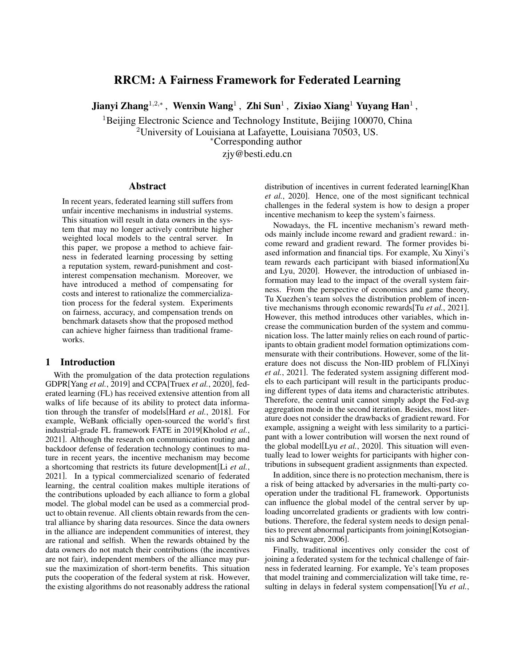# RRCM: A Fairness Framework for Federated Learning

Jianyi Zhang $^{1,2,*}$  , Wenxin Wang $^1$  , Zhi Sun $^1$  , Zixiao Xiang $^1$  Yuyang Han $^1$  ,

<sup>1</sup>Beijing Electronic Science and Technology Institute, Beijing 100070, China <sup>2</sup>University of Louisiana at Lafayette, Louisiana 70503, US. <sup>∗</sup>Corresponding author zjy@besti.edu.cn

#### Abstract

In recent years, federated learning still suffers from unfair incentive mechanisms in industrial systems. This situation will result in data owners in the system that may no longer actively contribute higher weighted local models to the central server. In this paper, we propose a method to achieve fairness in federated learning processing by setting a reputation system, reward-punishment and costinterest compensation mechanism. Moreover, we have introduced a method of compensating for costs and interest to rationalize the commercialization process for the federal system. Experiments on fairness, accuracy, and compensation trends on benchmark datasets show that the proposed method can achieve higher fairness than traditional frameworks.

### 1 Introduction

With the promulgation of the data protection regulations GDPR[Yang *et al.*[, 2019\]](#page-7-0) and CCPA[Truex *et al.*[, 2020\]](#page-6-0), federated learning (FL) has received extensive attention from all walks of life because of its ability to protect data information through the transfer of models[Hard *et al.*[, 2018\]](#page-5-0). For example, WeBank officially open-sourced the world's first industrial-grade FL framework FATE in 2019[\[Kholod](#page-6-1) *et al.*, [2021\]](#page-6-1). Although the research on communication routing and backdoor defense of federation technology continues to mature in recent years, the incentive mechanism may become a shortcoming that restricts its future development[Li *[et al.](#page-6-2)*, [2021\]](#page-6-2). In a typical commercialized scenario of federated learning, the central coalition makes multiple iterations of the contributions uploaded by each alliance to form a global model. The global model can be used as a commercial product to obtain revenue. All clients obtain rewards from the central alliance by sharing data resources. Since the data owners in the alliance are independent communities of interest, they are rational and selfish. When the rewards obtained by the data owners do not match their contributions (the incentives are not fair), independent members of the alliance may pursue the maximization of short-term benefits. This situation puts the cooperation of the federal system at risk. However, the existing algorithms do not reasonably address the rational distribution of incentives in current federated learning[\[Khan](#page-6-3) *et al.*[, 2020\]](#page-6-3). Hence, one of the most significant technical challenges in the federal system is how to design a proper incentive mechanism to keep the system's fairness.

Nowadays, the FL incentive mechanism's reward methods mainly include income reward and gradient reward.: income reward and gradient reward. The former provides biased information and financial tips. For example, Xu Xinyi's team rewards each participant with biased information[\[Xu](#page-7-1) [and Lyu, 2020\]](#page-7-1). However, the introduction of unbiased information may lead to the impact of the overall system fairness. From the perspective of economics and game theory, Tu Xuezhen's team solves the distribution problem of incentive mechanisms through economic rewards[Tu *et al.*[, 2021\]](#page-6-4). However, this method introduces other variables, which increase the communication burden of the system and communication loss. The latter mainly relies on each round of participants to obtain gradient model formation optimizations commensurate with their contributions. However, some of the literature does not discuss the Non-IID problem of FL[\[Xinyi](#page-7-2) *et al.*[, 2021\]](#page-7-2). The federated system assigning different models to each participant will result in the participants producing different types of data items and characteristic attributes. Therefore, the central unit cannot simply adopt the Fed-avg aggregation mode in the second iteration. Besides, most literature does not consider the drawbacks of gradient reward. For example, assigning a weight with less similarity to a participant with a lower contribution will worsen the next round of the global model[Lyu *et al.*[, 2020\]](#page-6-5). This situation will eventually lead to lower weights for participants with higher contributions in subsequent gradient assignments than expected.

In addition, since there is no protection mechanism, there is a risk of being attacked by adversaries in the multi-party cooperation under the traditional FL framework. Opportunists can influence the global model of the central server by uploading uncorrelated gradients or gradients with low contributions. Therefore, the federal system needs to design penalties to prevent abnormal participants from joining[\[Kotsogian](#page-6-6)[nis and Schwager, 2006\]](#page-6-6).

Finally, traditional incentives only consider the cost of joining a federated system for the technical challenge of fairness in federated learning. For example, Ye's team proposes that model training and commercialization will take time, resulting in delays in federal system compensation[[Yu *[et al.](#page-7-3)*,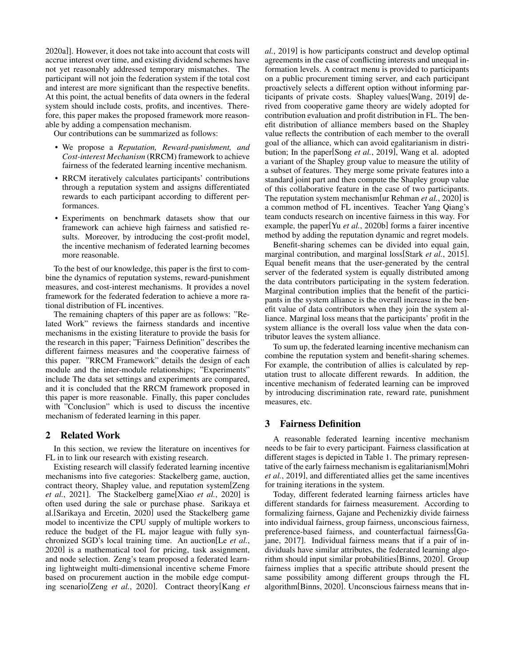[2020a\]](#page-7-3)]. However, it does not take into account that costs will accrue interest over time, and existing dividend schemes have not yet reasonably addressed temporary mismatches. The participant will not join the federation system if the total cost and interest are more significant than the respective benefits. At this point, the actual benefits of data owners in the federal system should include costs, profits, and incentives. Therefore, this paper makes the proposed framework more reasonable by adding a compensation mechanism.

Our contributions can be summarized as follows:

- We propose a *Reputation, Reward-punishment, and Cost-interest Mechanism* (RRCM) framework to achieve fairness of the federated learning incentive mechanism.
- RRCM iteratively calculates participants' contributions through a reputation system and assigns differentiated rewards to each participant according to different performances.
- Experiments on benchmark datasets show that our framework can achieve high fairness and satisfied results. Moreover, by introducing the cost-profit model, the incentive mechanism of federated learning becomes more reasonable.

To the best of our knowledge, this paper is the first to combine the dynamics of reputation systems, reward-punishment measures, and cost-interest mechanisms. It provides a novel framework for the federated federation to achieve a more rational distribution of FL incentives.

The remaining chapters of this paper are as follows: "Related Work" reviews the fairness standards and incentive mechanisms in the existing literature to provide the basis for the research in this paper; "Fairness Definition" describes the different fairness measures and the cooperative fairness of this paper. "RRCM Framework" details the design of each module and the inter-module relationships; "Experiments" include The data set settings and experiments are compared, and it is concluded that the RRCM framework proposed in this paper is more reasonable. Finally, this paper concludes with "Conclusion" which is used to discuss the incentive mechanism of federated learning in this paper.

### 2 Related Work

In this section, we review the literature on incentives for FL in to link our research with existing research.

Existing research will classify federated learning incentive mechanisms into five categories: Stackelberg game, auction, contract theory, Shapley value, and reputation system[\[Zeng](#page-7-4) *et al.*[, 2021\]](#page-7-4). The Stackelberg game[Xiao *et al.*[, 2020\]](#page-7-5) is often used during the sale or purchase phase. Sarikaya et al.[\[Sarikaya and Ercetin, 2020\]](#page-6-7) used the Stackelberg game model to incentivize the CPU supply of multiple workers to reduce the budget of the FL major league with fully synchronized SGD's local training time. An auction[Le *[et al.](#page-6-8)*, [2020\]](#page-6-8) is a mathematical tool for pricing, task assignment, and node selection. Zeng's team proposed a federated learning lightweight multi-dimensional incentive scheme Fmore based on procurement auction in the mobile edge computing scenario[Zeng *et al.*[, 2020\]](#page-7-6). Contract theory[\[Kang](#page-6-9) *et* *al.*[, 2019\]](#page-6-9) is how participants construct and develop optimal agreements in the case of conflicting interests and unequal information levels. A contract menu is provided to participants on a public procurement timing server, and each participant proactively selects a different option without informing participants of private costs. Shapley values[\[Wang, 2019\]](#page-7-7) derived from cooperative game theory are widely adopted for contribution evaluation and profit distribution in FL. The benefit distribution of alliance members based on the Shapley value reflects the contribution of each member to the overall goal of the alliance, which can avoid egalitarianism in distribution; In the paper[Song *et al.*[, 2019\]](#page-6-10), Wang et al. adopted a variant of the Shapley group value to measure the utility of a subset of features. They merge some private features into a standard joint part and then compute the Shapley group value of this collaborative feature in the case of two participants. The reputation system mechanism[\[ur Rehman](#page-7-8) *et al.*, 2020] is a common method of FL incentives. Teacher Yang Qiang's team conducts research on incentive fairness in this way. For example, the paper[Yu *et al.*[, 2020b\]](#page-7-9) forms a fairer incentive method by adding the reputation dynamic and regret models.

Benefit-sharing schemes can be divided into equal gain, marginal contribution, and marginal loss[Stark *et al.*[, 2015\]](#page-6-11). Equal benefit means that the user-generated by the central server of the federated system is equally distributed among the data contributors participating in the system federation. Marginal contribution implies that the benefit of the participants in the system alliance is the overall increase in the benefit value of data contributors when they join the system alliance. Marginal loss means that the participants' profit in the system alliance is the overall loss value when the data contributor leaves the system alliance.

To sum up, the federated learning incentive mechanism can combine the reputation system and benefit-sharing schemes. For example, the contribution of allies is calculated by reputation trust to allocate different rewards. In addition, the incentive mechanism of federated learning can be improved by introducing discrimination rate, reward rate, punishment measures, etc.

### 3 Fairness Definition

A reasonable federated learning incentive mechanism needs to be fair to every participant. Fairness classification at different stages is depicted in Table [1.](#page-2-0) The primary representative of the early fairness mechanism is egalitarianism[\[Mohri](#page-6-12) *et al.*[, 2019\]](#page-6-12), and differentiated allies get the same incentives for training iterations in the system.

Today, different federated learning fairness articles have different standards for fairness measurement. According to formalizing fairness, Gajane and Pechenizkiy divide fairness into individual fairness, group fairness, unconscious fairness, preference-based fairness, and counterfactual fairness[\[Ga](#page-5-1)[jane, 2017\]](#page-5-1). Individual fairness means that if a pair of individuals have similar attributes, the federated learning algorithm should input similar probabilities[\[Binns, 2020\]](#page-5-2). Group fairness implies that a specific attribute should present the same possibility among different groups through the FL algorithm[\[Binns, 2020\]](#page-5-2). Unconscious fairness means that in-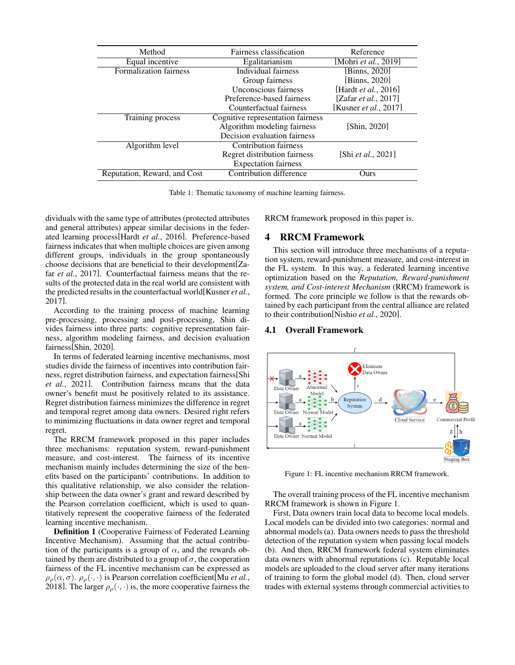<span id="page-2-0"></span>

| Method                       | Fairness classification           | Reference                    |  |
|------------------------------|-----------------------------------|------------------------------|--|
| Equal incentive              | Egalitarianism                    | [Mohri et al., 2019]         |  |
| Formalization fairness       | Individual fairness               | [Binns, 2020]                |  |
|                              | Group fairness                    | [Binns, 2020]                |  |
|                              | Unconscious fairness              | [Hardt <i>et al.</i> , 2016] |  |
|                              | Preference-based fairness         | [Zafar et al., 2017]         |  |
|                              | Counterfactual fairness           | [Kusner et al., 2017]        |  |
| Training process             | Cognitive representation fairness |                              |  |
|                              | Algorithm modeling fairness       | [Shin, 2020]                 |  |
|                              | Decision evaluation fairness      |                              |  |
| Algorithm level              | Contribution fairness             |                              |  |
|                              | Regret distribution fairness      | [Shi et al., 2021]           |  |
|                              | <b>Expectation fairness</b>       |                              |  |
| Reputation, Reward, and Cost | Contribution difference           | Ours                         |  |

Table 1: Thematic taxonomy of machine learning fairness.

dividuals with the same type of attributes (protected attributes and general attributes) appear similar decisions in the federated learning process[Hardt *et al.*[, 2016\]](#page-5-3). Preference-based fairness indicates that when multiple choices are given among different groups, individuals in the group spontaneously choose decisions that are beneficial to their development[\[Za](#page-7-10)far *et al.*[, 2017\]](#page-7-10). Counterfactual fairness means that the results of the protected data in the real world are consistent with the predicted results in the counterfactual world[\[Kusner](#page-6-13) *et al.*, [2017\]](#page-6-13).

According to the training process of machine learning pre-processing, processing and post-processing, Shin divides fairness into three parts: cognitive representation fairness, algorithm modeling fairness, and decision evaluation fairness[\[Shin, 2020\]](#page-6-14).

In terms of federated learning incentive mechanisms, most studies divide the fairness of incentives into contribution fairness, regret distribution fairness, and expectation fairness[\[Shi](#page-6-15) *et al.*[, 2021\]](#page-6-15). Contribution fairness means that the data owner's benefit must be positively related to its assistance. Regret distribution fairness minimizes the difference in regret and temporal regret among data owners. Desired right refers to minimizing fluctuations in data owner regret and temporal regret.

The RRCM framework proposed in this paper includes three mechanisms: reputation system, reward-punishment measure, and cost-interest. The fairness of its incentive mechanism mainly includes determining the size of the benefits based on the participants' contributions. In addition to this qualitative relationship, we also consider the relationship between the data owner's grant and reward described by the Pearson correlation coefficient, which is used to quantitatively represent the cooperative fairness of the federated learning incentive mechanism.

Definition 1 (Cooperative Fairness of Federated Learning Incentive Mechanism). Assuming that the actual contribution of the participants is a group of  $\alpha$ , and the rewards obtained by them are distributed to a group of  $\sigma$ , the cooperation fairness of the FL incentive mechanism can be expressed as  $\rho_{\rho}(\alpha, \sigma)$ .  $\rho_{\rho}(\cdot, \cdot)$  is Pearson correlation coefficient[Mu *[et al.](#page-6-16)*, [2018\]](#page-6-16). The larger  $\rho_{\rho}(\cdot,\cdot)$  is, the more cooperative fairness the RRCM framework proposed in this paper is.

### 4 RRCM Framework

This section will introduce three mechanisms of a reputation system, reward-punishment measure, and cost-interest in the FL system. In this way, a federated learning incentive optimization based on the *Reputation, Reward-punishment system, and Cost-interest Mechanism* (RRCM) framework is formed. The core principle we follow is that the rewards obtained by each participant from the central alliance are related to their contribution[\[Nishio](#page-6-17) *et al.*, 2020].

### 4.1 Overall Framework

<span id="page-2-1"></span>

Figure 1: FL incentive mechanism RRCM framework.

The overall training process of the FL incentive mechanism RRCM framework is shown in Figure [1.](#page-2-1)

First, Data owners train local data to become local models. Local models can be divided into two categories: normal and abnormal models (a). Data owners needs to pass the threshold detection of the reputation system when passing local models (b). And then, RRCM framework federal system eliminates data owners with abnormal reputations (c). Reputable local models are uploaded to the cloud server after many iterations of training to form the global model (d). Then, cloud server trades with external systems through commercial activities to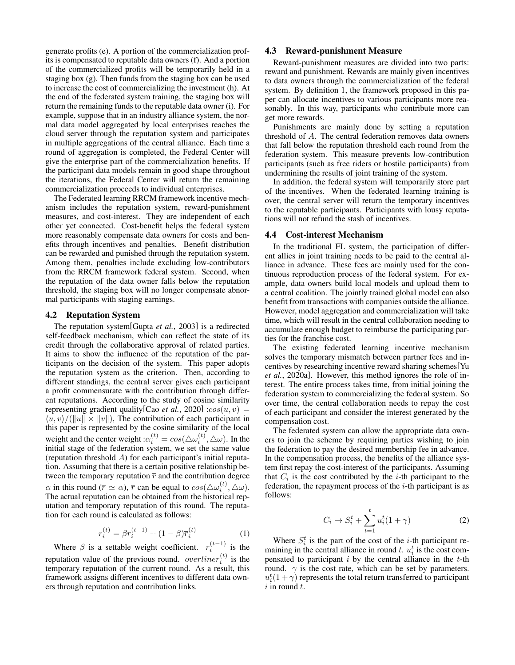generate profits (e). A portion of the commercialization profits is compensated to reputable data owners (f). And a portion of the commercialized profits will be temporarily held in a staging box (g). Then funds from the staging box can be used to increase the cost of commercializing the investment (h). At the end of the federated system training, the staging box will return the remaining funds to the reputable data owner (i). For example, suppose that in an industry alliance system, the normal data model aggregated by local enterprises reaches the cloud server through the reputation system and participates in multiple aggregations of the central alliance. Each time a round of aggregation is completed, the Federal Center will give the enterprise part of the commercialization benefits. If the participant data models remain in good shape throughout the iterations, the Federal Center will return the remaining commercialization proceeds to individual enterprises.

The Federated learning RRCM framework incentive mechanism includes the reputation system, reward-punishment measures, and cost-interest. They are independent of each other yet connected. Cost-benefit helps the federal system more reasonably compensate data owners for costs and benefits through incentives and penalties. Benefit distribution can be rewarded and punished through the reputation system. Among them, penalties include excluding low-contributors from the RRCM framework federal system. Second, when the reputation of the data owner falls below the reputation threshold, the staging box will no longer compensate abnormal participants with staging earnings.

#### 4.2 Reputation System

The reputation system[Gupta *et al.*[, 2003\]](#page-5-4) is a redirected self-feedback mechanism, which can reflect the state of its credit through the collaborative approval of related parties. It aims to show the influence of the reputation of the participants on the decision of the system. This paper adopts the reputation system as the criterion. Then, according to different standings, the central server gives each participant a profit commensurate with the contribution through different reputations. According to the study of cosine similarity representing gradient quality [Cao *et al.*[, 2020\]](#page-5-5) : $cos(u, v)$  =  $\langle u, v \rangle / (||u|| \times ||v||)$ , The contribution of each participant in this paper is represented by the cosine similarity of the local weight and the center weight : $\alpha_i^{(t)} = cos(\triangle \omega_i^{(t)}, \triangle \omega)$ . In the initial stage of the federation system, we set the same value (reputation threshold A) for each participant's initial reputation. Assuming that there is a certain positive relationship between the temporary reputation  $\bar{r}$  and the contribution degree  $\alpha$  in this round ( $\bar{r} \simeq \alpha$ ),  $\bar{r}$  can be equal to  $\cos(\triangle \omega_i^{(t)}, \triangle \omega)$ . The actual reputation can be obtained from the historical reputation and temporary reputation of this round. The reputation for each round is calculated as follows:

$$
r_i^{(t)} = \beta r_i^{(t-1)} + (1 - \beta)\overline{r}_i^{(t)}
$$
(1)

Where  $\beta$  is a settable weight coefficient.  $r_i^{(t-1)}$  is the reputation value of the previous round.  $overline{r_i^{(t)}}$  is the temporary reputation of the current round. As a result, this framework assigns different incentives to different data owners through reputation and contribution links.

#### 4.3 Reward-punishment Measure

Reward-punishment measures are divided into two parts: reward and punishment. Rewards are mainly given incentives to data owners through the commercialization of the federal system. By definition 1, the framework proposed in this paper can allocate incentives to various participants more reasonably. In this way, participants who contribute more can get more rewards.

Punishments are mainly done by setting a reputation threshold of A. The central federation removes data owners that fall below the reputation threshold each round from the federation system. This measure prevents low-contribution participants (such as free riders or hostile participants) from undermining the results of joint training of the system.

In addition, the federal system will temporarily store part of the incentives. When the federated learning training is over, the central server will return the temporary incentives to the reputable participants. Participants with lousy reputations will not refund the stash of incentives.

### 4.4 Cost-interest Mechanism

In the traditional FL system, the participation of different allies in joint training needs to be paid to the central alliance in advance. These fees are mainly used for the continuous reproduction process of the federal system. For example, data owners build local models and upload them to a central coalition. The jointly trained global model can also benefit from transactions with companies outside the alliance. However, model aggregation and commercialization will take time, which will result in the central collaboration needing to accumulate enough budget to reimburse the participating parties for the franchise cost.

The existing federated learning incentive mechanism solves the temporary mismatch between partner fees and incentives by researching incentive reward sharing schemes[\[Yu](#page-7-3) *et al.*[, 2020a\]](#page-7-3). However, this method ignores the role of interest. The entire process takes time, from initial joining the federation system to commercializing the federal system. So over time, the central collaboration needs to repay the cost of each participant and consider the interest generated by the compensation cost.

The federated system can allow the appropriate data owners to join the scheme by requiring parties wishing to join the federation to pay the desired membership fee in advance. In the compensation process, the benefits of the alliance system first repay the cost-interest of the participants. Assuming that  $C_i$  is the cost contributed by the *i*-th participant to the federation, the repayment process of the  $i$ -th participant is as follows:

$$
C_i \to S_i^t + \sum_{t=1}^t u_i^t (1+\gamma) \tag{2}
$$

Where  $S_i^t$  is the part of the cost of the *i*-th participant remaining in the central alliance in round t.  $u_i^t$  is the cost compensated to participant  $i$  by the central alliance in the  $t$ -th round.  $\gamma$  is the cost rate, which can be set by parameters.  $u_i^t(1+\gamma)$  represents the total return transferred to participant  $i$  in round  $t$ .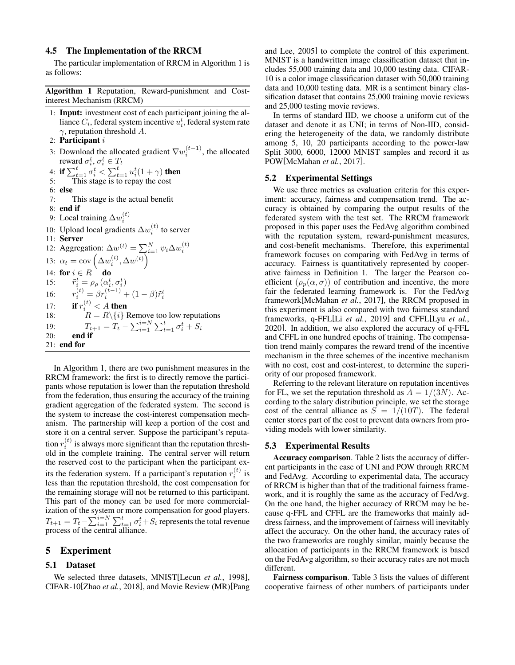#### 4.5 The Implementation of the RRCM

The particular implementation of RRCM in Algorithm 1 is as follows:

Algorithm 1 Reputation, Reward-punishment and Costinterest Mechanism (RRCM)

- 1: Input: investment cost of each participant joining the alliance  $C_i$ , federal system incentive  $u_i^t$ , federal system rate  $\gamma$ , reputation threshold A.
- 2: Participant i
- 3: Download the allocated gradient  $\nabla w_i^{(t-1)}$ , the allocated reward  $\sigma_i^t$ ,  $\sigma_i^t \in T_t$

i ewalt  $o_i$ ,  $o_i \in I_t$ <br>4: if  $\sum_{t=1}^t \sigma_i^t < \sum_{t=1}^t u_i^t (1 + \gamma)$  then

- 5: This stage is to repay the cost
- 6: else
- 7: This stage is the actual benefit
- 8: end if
- 9: Local training  $\Delta w_i^{(t)}$
- 10: Upload local gradients  $\Delta w_i^{(t)}$  to server

11: Server 12: Aggregation:  $\Delta w^{(t)} = \sum_{i=1}^{N} \psi_i \Delta w_i^{(t)}$ <br>13:  $\alpha_t = \text{cov}\left(\Delta w_i^{(t)}, \Delta w^{(t)}\right)$ 14: for  $i \in R$  do 15:  $\tilde{r}_i^t = \rho_\rho \left( \alpha_i^t, \sigma_i^t \right)$ 16:  $r_i^{(t)} = \beta r_i^{(t-1)} + (1-\beta)\tilde{r}_i^t$ 17: if  $r_i^{(t)} < A$  then 18:  $R = R \setminus \{i\}$  Remove too low reputations 19:  $T_{t+1} = T_t - \sum_{i=1}^{i=N} \sum_{t=1}^{t} \sigma_i^t + S_i$ 20: end if 21: end for

In Algorithm 1, there are two punishment measures in the RRCM framework: the first is to directly remove the participants whose reputation is lower than the reputation threshold from the federation, thus ensuring the accuracy of the training gradient aggregation of the federated system. The second is the system to increase the cost-interest compensation mechanism. The partnership will keep a portion of the cost and store it on a central server. Suppose the participant's reputation  $r_i^{(t)}$  is always more significant than the reputation threshold in the complete training. The central server will return the reserved cost to the participant when the participant exits the federation system. If a participant's reputation  $r_i^{(t)}$  is less than the reputation threshold, the cost compensation for the remaining storage will not be returned to this participant. This part of the money can be used for more commercialization of the system or more compensation for good players.  $T_{t+1} = T_t - \sum_{i=1}^{i=N} \sum_{t=1}^{t} \sigma_i^t + S_i$  represents the total revenue process of the central alliance.

### 5 Experiment

#### 5.1 Dataset

We selected three datasets, MNIST[Lecun *et al.*[, 1998\]](#page-6-18), CIFAR-10[Zhao *et al.*[, 2018\]](#page-7-11), and Movie Review (MR)[\[Pang](#page-6-19) [and Lee, 2005\]](#page-6-19) to complete the control of this experiment. MNIST is a handwritten image classification dataset that includes 55,000 training data and 10,000 testing data. CIFAR-10 is a color image classification dataset with 50,000 training data and 10,000 testing data. MR is a sentiment binary classification dataset that contains 25,000 training movie reviews and 25,000 testing movie reviews.

In terms of standard IID, we choose a uniform cut of the dataset and denote it as UNI; in terms of Non-IID, considering the heterogeneity of the data, we randomly distribute among 5, 10, 20 participants according to the power-law Split 3000, 6000, 12000 MNIST samples and record it as POW[\[McMahan](#page-6-20) *et al.*, 2017].

#### 5.2 Experimental Settings

We use three metrics as evaluation criteria for this experiment: accuracy, fairness and compensation trend. The accuracy is obtained by comparing the output results of the federated system with the test set. The RRCM framework proposed in this paper uses the FedAvg algorithm combined with the reputation system, reward-punishment measures, and cost-benefit mechanisms. Therefore, this experimental framework focuses on comparing with FedAvg in terms of accuracy. Fairness is quantitatively represented by cooperative fairness in Definition 1. The larger the Pearson coefficient  $(\rho_p(\alpha, \sigma))$  of contribution and incentive, the more fair the federated learning framework is. For the FedAvg framework[\[McMahan](#page-6-20) *et al.*, 2017], the RRCM proposed in this experiment is also compared with two fairness standard frameworks, q-FFL[Li *et al.*[, 2019\]](#page-6-21) and CFFL[Lyu *[et al.](#page-6-5)*, [2020\]](#page-6-5). In addition, we also explored the accuracy of q-FFL and CFFL in one hundred epochs of training. The compensation trend mainly compares the reward trend of the incentive mechanism in the three schemes of the incentive mechanism with no cost, cost and cost-interest, to determine the superiority of our proposed framework.

Referring to the relevant literature on reputation incentives for FL, we set the reputation threshold as  $A = 1/(3N)$ . According to the salary distribution principle, we set the storage cost of the central alliance as  $S = 1/(10T)$ . The federal center stores part of the cost to prevent data owners from providing models with lower similarity.

#### 5.3 Experimental Results

Accuracy comparison. Table [2](#page-5-6) lists the accuracy of different participants in the case of UNI and POW through RRCM and FedAvg. According to experimental data, The accuracy of RRCM is higher than that of the traditional fairness framework, and it is roughly the same as the accuracy of FedAvg. On the one hand, the higher accuracy of RRCM may be because q-FFL and CFFL are the frameworks that mainly address fairness, and the improvement of fairness will inevitably affect the accuracy. On the other hand, the accuracy rates of the two frameworks are roughly similar, mainly because the allocation of participants in the RRCM framework is based on the FedAvg algorithm, so their accuracy rates are not much different.

Fairness comparison. Table [3](#page-5-7) lists the values of different cooperative fairness of other numbers of participants under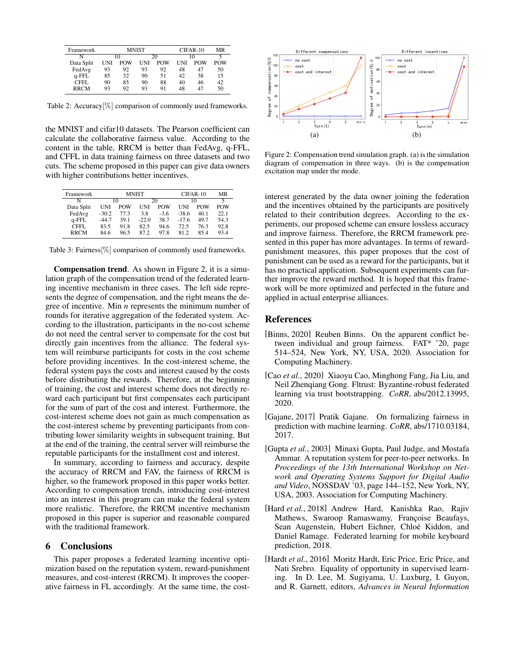<span id="page-5-6"></span>

| Framework   |     | <b>MNIST</b> |     |            | CIFAR-10 |            | MR         |
|-------------|-----|--------------|-----|------------|----------|------------|------------|
|             |     | 10           |     | 20         |          | 10         |            |
| Data Split  | UNI | <b>POW</b>   | UNI | <b>POW</b> | UNI      | <b>POW</b> | <b>POW</b> |
| FedAvg      | 93  | 92           | 93  | 92         | 48       | 47         | 50         |
| q-FFL       | 85  | 32           | 90  | 51         | 42       | 38         | 15         |
| CFFL.       | 90  | 85           | 90  | 88         | 40       | 46         | 42         |
| <b>RRCM</b> | 93  | 92           | 93  | 91         | 48       | 47         | 50         |

Table 2: Accuracy[%] comparison of commonly used frameworks.

the MNIST and cifar10 datasets. The Pearson coefficient can calculate the collaborative fairness value. According to the content in the table, RRCM is better than FedAvg, q-FFL, and CFFL in data training fairness on three datasets and two cuts. The scheme proposed in this paper can give data owners with higher contributions better incentives.

<span id="page-5-7"></span>

| Framework  |         | MNIST      |         |            | CIFAR-10   |            | MR         |
|------------|---------|------------|---------|------------|------------|------------|------------|
| N          |         | 10         |         | 20         |            | 10         |            |
| Data Split | UNI     | <b>POW</b> | UNI     | <b>POW</b> | <b>INI</b> | <b>POW</b> | <b>POW</b> |
| FedAvg     | $-30.2$ | 77.3       | 3.8     | $-3.6$     | $-38.6$    | 40.1       | 22.1       |
| q-FFL      | $-44.7$ | 39.1       | $-22.0$ | 38.7       | $-17.6$    | 49.7       | 54.3       |
| CFFL.      | 83.5    | 91.8       | 82.5    | 94.6       | 72.5       | 76.3       | 92.8       |
| RRCM       | 84.6    | 96.5       | 872     | 97.8       | 812        | 854        | 93.4       |

Table 3: Fairness[%] comparison of commonly used frameworks.

Compensation trend. As shown in Figure [2,](#page-5-8) it is a simulation graph of the compensation trend of the federated learning incentive mechanism in three cases. The left side represents the degree of compensation, and the right means the degree of incentive. Min *n* represents the minimum number of rounds for iterative aggregation of the federated system. According to the illustration, participants in the no-cost scheme do not need the central server to compensate for the cost but directly gain incentives from the alliance. The federal system will reimburse participants for costs in the cost scheme before providing incentives. In the cost-interest scheme, the federal system pays the costs and interest caused by the costs before distributing the rewards. Therefore, at the beginning of training, the cost and interest scheme does not directly reward each participant but first compensates each participant for the sum of part of the cost and interest. Furthermore, the cost-interest scheme does not gain as much compensation as the cost-interest scheme by preventing participants from contributing lower similarity weights in subsequent training. But at the end of the training, the central server will reimburse the reputable participants for the installment cost and interest.

In summary, according to fairness and accuracy, despite the accuracy of RRCM and FAV, the fairness of RRCM is higher, so the framework proposed in this paper works better. According to compensation trends, introducing cost-interest into an interest in this program can make the federal system more realistic. Therefore, the RRCM incentive mechanism proposed in this paper is superior and reasonable compared with the traditional framework.

### 6 Conclusions

This paper proposes a federated learning incentive optimization based on the reputation system, reward-punishment measures, and cost-interest (RRCM). It improves the cooperative fairness in FL accordingly. At the same time, the cost-

<span id="page-5-8"></span>

Figure 2: Compensation trend simulation graph. (a) is the simulation diagram of compensation in three ways. (b) is the compensation excitation map under the mode.

interest generated by the data owner joining the federation and the incentives obtained by the participants are positively related to their contribution degrees. According to the experiments, our proposed scheme can ensure lossless accuracy and improve fairness. Therefore, the RRCM framework presented in this paper has more advantages. In terms of rewardpunishment measures, this paper proposes that the cost of punishment can be used as a reward for the participants, but it has no practical application. Subsequent experiments can further improve the reward method. It is hoped that this framework will be more optimized and perfected in the future and applied in actual enterprise alliances.

### References

- <span id="page-5-2"></span>[Binns, 2020] Reuben Binns. On the apparent conflict between individual and group fairness. FAT\* '20, page 514–524, New York, NY, USA, 2020. Association for Computing Machinery.
- <span id="page-5-5"></span>[Cao *et al.*, 2020] Xiaoyu Cao, Minghong Fang, Jia Liu, and Neil Zhenqiang Gong. Fltrust: Byzantine-robust federated learning via trust bootstrapping. *CoRR*, abs/2012.13995, 2020.
- <span id="page-5-1"></span>[Gajane, 2017] Pratik Gajane. On formalizing fairness in prediction with machine learning. *CoRR*, abs/1710.03184, 2017.
- <span id="page-5-4"></span>[Gupta *et al.*, 2003] Minaxi Gupta, Paul Judge, and Mostafa Ammar. A reputation system for peer-to-peer networks. In *Proceedings of the 13th International Workshop on Network and Operating Systems Support for Digital Audio and Video*, NOSSDAV '03, page 144–152, New York, NY, USA, 2003. Association for Computing Machinery.
- <span id="page-5-0"></span>[Hard *et al.*, 2018] Andrew Hard, Kanishka Rao, Rajiv Mathews, Swaroop Ramaswamy, Françoise Beaufays, Sean Augenstein, Hubert Eichner, Chloé Kiddon, and Daniel Ramage. Federated learning for mobile keyboard prediction, 2018.
- <span id="page-5-3"></span>[Hardt et al., 2016] Moritz Hardt, Eric Price, Eric Price, and Nati Srebro. Equality of opportunity in supervised learning. In D. Lee, M. Sugiyama, U. Luxburg, I. Guyon, and R. Garnett, editors, *Advances in Neural Information*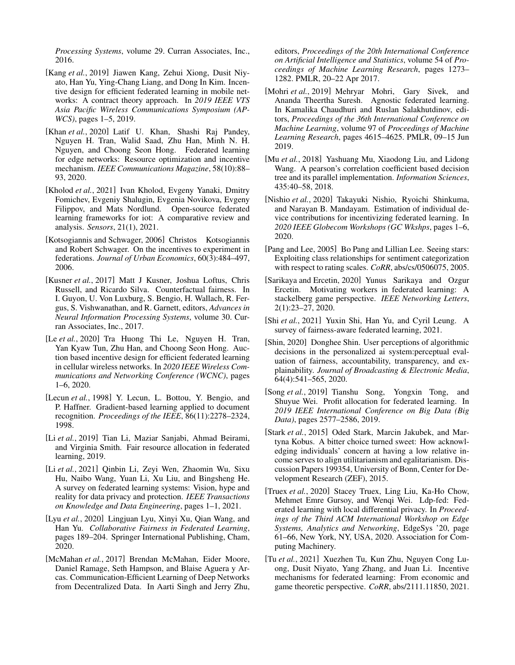*Processing Systems*, volume 29. Curran Associates, Inc., 2016.

- <span id="page-6-9"></span>[Kang *et al.*, 2019] Jiawen Kang, Zehui Xiong, Dusit Niyato, Han Yu, Ying-Chang Liang, and Dong In Kim. Incentive design for efficient federated learning in mobile networks: A contract theory approach. In *2019 IEEE VTS Asia Pacific Wireless Communications Symposium (AP-WCS)*, pages 1–5, 2019.
- <span id="page-6-3"></span>[Khan *et al.*, 2020] Latif U. Khan, Shashi Raj Pandey, Nguyen H. Tran, Walid Saad, Zhu Han, Minh N. H. Nguyen, and Choong Seon Hong. Federated learning for edge networks: Resource optimization and incentive mechanism. *IEEE Communications Magazine*, 58(10):88– 93, 2020.
- <span id="page-6-1"></span>[Kholod *et al.*, 2021] Ivan Kholod, Evgeny Yanaki, Dmitry Fomichev, Evgeniy Shalugin, Evgenia Novikova, Evgeny Filippov, and Mats Nordlund. Open-source federated learning frameworks for iot: A comparative review and analysis. *Sensors*, 21(1), 2021.
- <span id="page-6-6"></span>[Kotsogiannis and Schwager, 2006] Christos Kotsogiannis and Robert Schwager. On the incentives to experiment in federations. *Journal of Urban Economics*, 60(3):484–497, 2006.
- <span id="page-6-13"></span>[Kusner *et al.*, 2017] Matt J Kusner, Joshua Loftus, Chris Russell, and Ricardo Silva. Counterfactual fairness. In I. Guyon, U. Von Luxburg, S. Bengio, H. Wallach, R. Fergus, S. Vishwanathan, and R. Garnett, editors, *Advances in Neural Information Processing Systems*, volume 30. Curran Associates, Inc., 2017.
- <span id="page-6-8"></span>[Le *et al.*, 2020] Tra Huong Thi Le, Nguyen H. Tran, Yan Kyaw Tun, Zhu Han, and Choong Seon Hong. Auction based incentive design for efficient federated learning in cellular wireless networks. In *2020 IEEE Wireless Communications and Networking Conference (WCNC)*, pages 1–6, 2020.
- <span id="page-6-18"></span>[Lecun *et al.*, 1998] Y. Lecun, L. Bottou, Y. Bengio, and P. Haffner. Gradient-based learning applied to document recognition. *Proceedings of the IEEE*, 86(11):2278–2324, 1998.
- <span id="page-6-21"></span>[Li *et al.*, 2019] Tian Li, Maziar Sanjabi, Ahmad Beirami, and Virginia Smith. Fair resource allocation in federated learning, 2019.
- <span id="page-6-2"></span>[Li *et al.*, 2021] Qinbin Li, Zeyi Wen, Zhaomin Wu, Sixu Hu, Naibo Wang, Yuan Li, Xu Liu, and Bingsheng He. A survey on federated learning systems: Vision, hype and reality for data privacy and protection. *IEEE Transactions on Knowledge and Data Engineering*, pages 1–1, 2021.
- <span id="page-6-5"></span>[Lyu *et al.*, 2020] Lingjuan Lyu, Xinyi Xu, Qian Wang, and Han Yu. *Collaborative Fairness in Federated Learning*, pages 189–204. Springer International Publishing, Cham, 2020.
- <span id="page-6-20"></span>[McMahan *et al.*, 2017] Brendan McMahan, Eider Moore, Daniel Ramage, Seth Hampson, and Blaise Aguera y Arcas. Communication-Efficient Learning of Deep Networks from Decentralized Data. In Aarti Singh and Jerry Zhu,

editors, *Proceedings of the 20th International Conference on Artificial Intelligence and Statistics*, volume 54 of *Proceedings of Machine Learning Research*, pages 1273– 1282. PMLR, 20–22 Apr 2017.

- <span id="page-6-12"></span>[Mohri *et al.*, 2019] Mehryar Mohri, Gary Sivek, and Ananda Theertha Suresh. Agnostic federated learning. In Kamalika Chaudhuri and Ruslan Salakhutdinov, editors, *Proceedings of the 36th International Conference on Machine Learning*, volume 97 of *Proceedings of Machine Learning Research*, pages 4615–4625. PMLR, 09–15 Jun 2019.
- <span id="page-6-16"></span>[Mu *et al.*, 2018] Yashuang Mu, Xiaodong Liu, and Lidong Wang. A pearson's correlation coefficient based decision tree and its parallel implementation. *Information Sciences*, 435:40–58, 2018.
- <span id="page-6-17"></span>[Nishio *et al.*, 2020] Takayuki Nishio, Ryoichi Shinkuma, and Narayan B. Mandayam. Estimation of individual device contributions for incentivizing federated learning. In *2020 IEEE Globecom Workshops (GC Wkshps*, pages 1–6, 2020.
- <span id="page-6-19"></span>[Pang and Lee, 2005] Bo Pang and Lillian Lee. Seeing stars: Exploiting class relationships for sentiment categorization with respect to rating scales. *CoRR*, abs/cs/0506075, 2005.
- <span id="page-6-7"></span>[Sarikaya and Ercetin, 2020] Yunus Sarikaya and Ozgur Ercetin. Motivating workers in federated learning: A stackelberg game perspective. *IEEE Networking Letters*, 2(1):23–27, 2020.
- <span id="page-6-15"></span>[Shi *et al.*, 2021] Yuxin Shi, Han Yu, and Cyril Leung. A survey of fairness-aware federated learning, 2021.
- <span id="page-6-14"></span>[Shin, 2020] Donghee Shin. User perceptions of algorithmic decisions in the personalized ai system:perceptual evaluation of fairness, accountability, transparency, and explainability. *Journal of Broadcasting & Electronic Media*, 64(4):541–565, 2020.
- <span id="page-6-10"></span>[Song *et al.*, 2019] Tianshu Song, Yongxin Tong, and Shuyue Wei. Profit allocation for federated learning. In *2019 IEEE International Conference on Big Data (Big Data)*, pages 2577–2586, 2019.
- <span id="page-6-11"></span>[Stark *et al.*, 2015] Oded Stark, Marcin Jakubek, and Martyna Kobus. A bitter choice turned sweet: How acknowledging individuals' concern at having a low relative income serves to align utilitarianism and egalitarianism. Discussion Papers 199354, University of Bonn, Center for Development Research (ZEF), 2015.
- <span id="page-6-0"></span>[Truex et al., 2020] Stacey Truex, Ling Liu, Ka-Ho Chow, Mehmet Emre Gursoy, and Wenqi Wei. Ldp-fed: Federated learning with local differential privacy. In *Proceedings of the Third ACM International Workshop on Edge Systems, Analytics and Networking*, EdgeSys '20, page 61–66, New York, NY, USA, 2020. Association for Computing Machinery.
- <span id="page-6-4"></span>[Tu *et al.*, 2021] Xuezhen Tu, Kun Zhu, Nguyen Cong Luong, Dusit Niyato, Yang Zhang, and Juan Li. Incentive mechanisms for federated learning: From economic and game theoretic perspective. *CoRR*, abs/2111.11850, 2021.